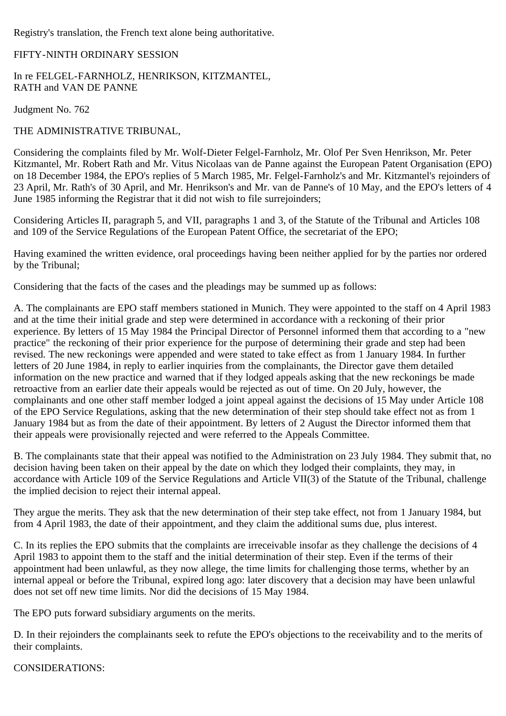Registry's translation, the French text alone being authoritative.

## FIFTY-NINTH ORDINARY SESSION

In re FELGEL-FARNHOLZ, HENRIKSON, KITZMANTEL, RATH and VAN DE PANNE

Judgment No. 762

THE ADMINISTRATIVE TRIBUNAL,

Considering the complaints filed by Mr. Wolf-Dieter Felgel-Farnholz, Mr. Olof Per Sven Henrikson, Mr. Peter Kitzmantel, Mr. Robert Rath and Mr. Vitus Nicolaas van de Panne against the European Patent Organisation (EPO) on 18 December 1984, the EPO's replies of 5 March 1985, Mr. Felgel-Farnholz's and Mr. Kitzmantel's rejoinders of 23 April, Mr. Rath's of 30 April, and Mr. Henrikson's and Mr. van de Panne's of 10 May, and the EPO's letters of 4 June 1985 informing the Registrar that it did not wish to file surrejoinders;

Considering Articles II, paragraph 5, and VII, paragraphs 1 and 3, of the Statute of the Tribunal and Articles 108 and 109 of the Service Regulations of the European Patent Office, the secretariat of the EPO;

Having examined the written evidence, oral proceedings having been neither applied for by the parties nor ordered by the Tribunal;

Considering that the facts of the cases and the pleadings may be summed up as follows:

A. The complainants are EPO staff members stationed in Munich. They were appointed to the staff on 4 April 1983 and at the time their initial grade and step were determined in accordance with a reckoning of their prior experience. By letters of 15 May 1984 the Principal Director of Personnel informed them that according to a "new practice" the reckoning of their prior experience for the purpose of determining their grade and step had been revised. The new reckonings were appended and were stated to take effect as from 1 January 1984. In further letters of 20 June 1984, in reply to earlier inquiries from the complainants, the Director gave them detailed information on the new practice and warned that if they lodged appeals asking that the new reckonings be made retroactive from an earlier date their appeals would be rejected as out of time. On 20 July, however, the complainants and one other staff member lodged a joint appeal against the decisions of 15 May under Article 108 of the EPO Service Regulations, asking that the new determination of their step should take effect not as from 1 January 1984 but as from the date of their appointment. By letters of 2 August the Director informed them that their appeals were provisionally rejected and were referred to the Appeals Committee.

B. The complainants state that their appeal was notified to the Administration on 23 July 1984. They submit that, no decision having been taken on their appeal by the date on which they lodged their complaints, they may, in accordance with Article 109 of the Service Regulations and Article VII(3) of the Statute of the Tribunal, challenge the implied decision to reject their internal appeal.

They argue the merits. They ask that the new determination of their step take effect, not from 1 January 1984, but from 4 April 1983, the date of their appointment, and they claim the additional sums due, plus interest.

C. In its replies the EPO submits that the complaints are irreceivable insofar as they challenge the decisions of 4 April 1983 to appoint them to the staff and the initial determination of their step. Even if the terms of their appointment had been unlawful, as they now allege, the time limits for challenging those terms, whether by an internal appeal or before the Tribunal, expired long ago: later discovery that a decision may have been unlawful does not set off new time limits. Nor did the decisions of 15 May 1984.

The EPO puts forward subsidiary arguments on the merits.

D. In their rejoinders the complainants seek to refute the EPO's objections to the receivability and to the merits of their complaints.

CONSIDERATIONS: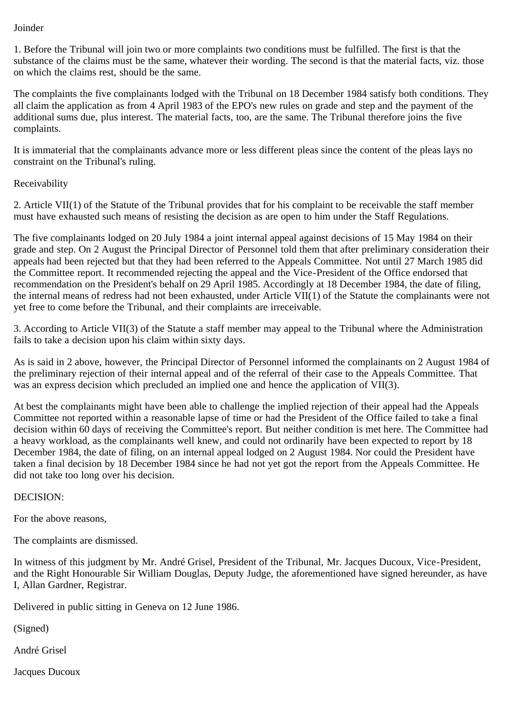## Joinder

1. Before the Tribunal will join two or more complaints two conditions must be fulfilled. The first is that the substance of the claims must be the same, whatever their wording. The second is that the material facts, viz. those on which the claims rest, should be the same.

The complaints the five complainants lodged with the Tribunal on 18 December 1984 satisfy both conditions. They all claim the application as from 4 April 1983 of the EPO's new rules on grade and step and the payment of the additional sums due, plus interest. The material facts, too, are the same. The Tribunal therefore joins the five complaints.

It is immaterial that the complainants advance more or less different pleas since the content of the pleas lays no constraint on the Tribunal's ruling.

## Receivability

2. Article VII(1) of the Statute of the Tribunal provides that for his complaint to be receivable the staff member must have exhausted such means of resisting the decision as are open to him under the Staff Regulations.

The five complainants lodged on 20 July 1984 a joint internal appeal against decisions of 15 May 1984 on their grade and step. On 2 August the Principal Director of Personnel told them that after preliminary consideration their appeals had been rejected but that they had been referred to the Appeals Committee. Not until 27 March 1985 did the Committee report. It recommended rejecting the appeal and the Vice-President of the Office endorsed that recommendation on the President's behalf on 29 April 1985. Accordingly at 18 December 1984, the date of filing, the internal means of redress had not been exhausted, under Article VII(1) of the Statute the complainants were not yet free to come before the Tribunal, and their complaints are irreceivable.

3. According to Article VII(3) of the Statute a staff member may appeal to the Tribunal where the Administration fails to take a decision upon his claim within sixty days.

As is said in 2 above, however, the Principal Director of Personnel informed the complainants on 2 August 1984 of the preliminary rejection of their internal appeal and of the referral of their case to the Appeals Committee. That was an express decision which precluded an implied one and hence the application of VII(3).

At best the complainants might have been able to challenge the implied rejection of their appeal had the Appeals Committee not reported within a reasonable lapse of time or had the President of the Office failed to take a final decision within 60 days of receiving the Committee's report. But neither condition is met here. The Committee had a heavy workload, as the complainants well knew, and could not ordinarily have been expected to report by 18 December 1984, the date of filing, on an internal appeal lodged on 2 August 1984. Nor could the President have taken a final decision by 18 December 1984 since he had not yet got the report from the Appeals Committee. He did not take too long over his decision.

## DECISION:

For the above reasons,

The complaints are dismissed.

In witness of this judgment by Mr. André Grisel, President of the Tribunal, Mr. Jacques Ducoux, Vice-President, and the Right Honourable Sir William Douglas, Deputy Judge, the aforementioned have signed hereunder, as have I, Allan Gardner, Registrar.

Delivered in public sitting in Geneva on 12 June 1986.

(Signed)

André Grisel

Jacques Ducoux